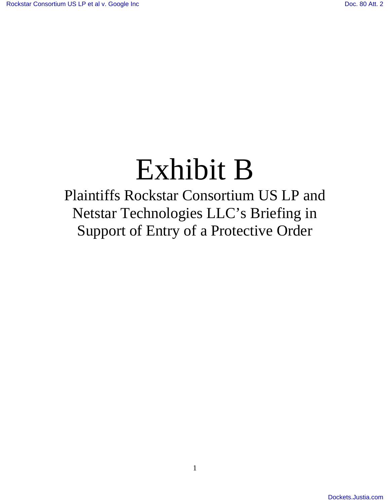# Exhibit B

Plaintiffs Rockstar Consortium US LP and Netstar Technologies LLC's Briefing in Support of Entry of a Protective Order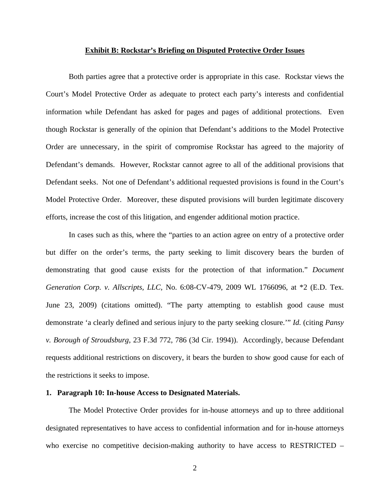#### **Exhibit B: Rockstar's Briefing on Disputed Protective Order Issues**

Both parties agree that a protective order is appropriate in this case. Rockstar views the Court's Model Protective Order as adequate to protect each party's interests and confidential information while Defendant has asked for pages and pages of additional protections. Even though Rockstar is generally of the opinion that Defendant's additions to the Model Protective Order are unnecessary, in the spirit of compromise Rockstar has agreed to the majority of Defendant's demands. However, Rockstar cannot agree to all of the additional provisions that Defendant seeks. Not one of Defendant's additional requested provisions is found in the Court's Model Protective Order. Moreover, these disputed provisions will burden legitimate discovery efforts, increase the cost of this litigation, and engender additional motion practice.

In cases such as this, where the "parties to an action agree on entry of a protective order but differ on the order's terms, the party seeking to limit discovery bears the burden of demonstrating that good cause exists for the protection of that information." *Document Generation Corp. v. Allscripts, LLC*, No. 6:08-CV-479, 2009 WL 1766096, at \*2 (E.D. Tex. June 23, 2009) (citations omitted). "The party attempting to establish good cause must demonstrate 'a clearly defined and serious injury to the party seeking closure.'" *Id.* (citing *Pansy v. Borough of Stroudsburg*, 23 F.3d 772, 786 (3d Cir. 1994)). Accordingly, because Defendant requests additional restrictions on discovery, it bears the burden to show good cause for each of the restrictions it seeks to impose.

#### **1. Paragraph 10: In-house Access to Designated Materials.**

The Model Protective Order provides for in-house attorneys and up to three additional designated representatives to have access to confidential information and for in-house attorneys who exercise no competitive decision-making authority to have access to RESTRICTED –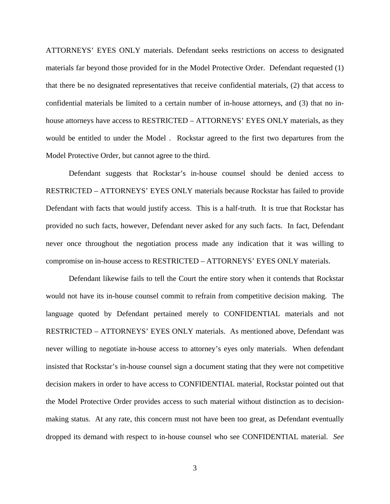ATTORNEYS' EYES ONLY materials. Defendant seeks restrictions on access to designated materials far beyond those provided for in the Model Protective Order. Defendant requested (1) that there be no designated representatives that receive confidential materials, (2) that access to confidential materials be limited to a certain number of in-house attorneys, and (3) that no inhouse attorneys have access to RESTRICTED – ATTORNEYS' EYES ONLY materials, as they would be entitled to under the Model . Rockstar agreed to the first two departures from the Model Protective Order, but cannot agree to the third.

Defendant suggests that Rockstar's in-house counsel should be denied access to RESTRICTED – ATTORNEYS' EYES ONLY materials because Rockstar has failed to provide Defendant with facts that would justify access. This is a half-truth. It is true that Rockstar has provided no such facts, however, Defendant never asked for any such facts. In fact, Defendant never once throughout the negotiation process made any indication that it was willing to compromise on in-house access to RESTRICTED – ATTORNEYS' EYES ONLY materials.

Defendant likewise fails to tell the Court the entire story when it contends that Rockstar would not have its in-house counsel commit to refrain from competitive decision making. The language quoted by Defendant pertained merely to CONFIDENTIAL materials and not RESTRICTED – ATTORNEYS' EYES ONLY materials. As mentioned above, Defendant was never willing to negotiate in-house access to attorney's eyes only materials. When defendant insisted that Rockstar's in-house counsel sign a document stating that they were not competitive decision makers in order to have access to CONFIDENTIAL material, Rockstar pointed out that the Model Protective Order provides access to such material without distinction as to decisionmaking status. At any rate, this concern must not have been too great, as Defendant eventually dropped its demand with respect to in-house counsel who see CONFIDENTIAL material. *See*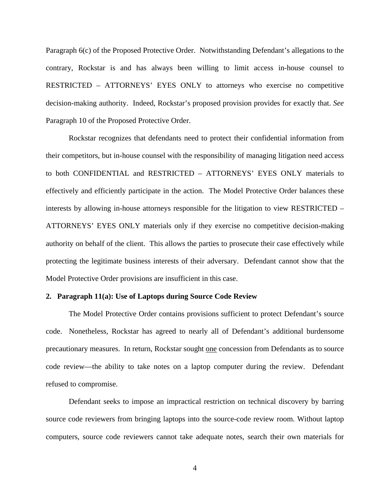Paragraph 6(c) of the Proposed Protective Order. Notwithstanding Defendant's allegations to the contrary, Rockstar is and has always been willing to limit access in-house counsel to RESTRICTED – ATTORNEYS' EYES ONLY to attorneys who exercise no competitive decision-making authority. Indeed, Rockstar's proposed provision provides for exactly that. *See* Paragraph 10 of the Proposed Protective Order.

Rockstar recognizes that defendants need to protect their confidential information from their competitors, but in-house counsel with the responsibility of managing litigation need access to both CONFIDENTIAL and RESTRICTED – ATTORNEYS' EYES ONLY materials to effectively and efficiently participate in the action. The Model Protective Order balances these interests by allowing in-house attorneys responsible for the litigation to view RESTRICTED – ATTORNEYS' EYES ONLY materials only if they exercise no competitive decision-making authority on behalf of the client. This allows the parties to prosecute their case effectively while protecting the legitimate business interests of their adversary. Defendant cannot show that the Model Protective Order provisions are insufficient in this case.

# **2. Paragraph 11(a): Use of Laptops during Source Code Review**

The Model Protective Order contains provisions sufficient to protect Defendant's source code. Nonetheless, Rockstar has agreed to nearly all of Defendant's additional burdensome precautionary measures. In return, Rockstar sought one concession from Defendants as to source code review—the ability to take notes on a laptop computer during the review. Defendant refused to compromise.

Defendant seeks to impose an impractical restriction on technical discovery by barring source code reviewers from bringing laptops into the source-code review room. Without laptop computers, source code reviewers cannot take adequate notes, search their own materials for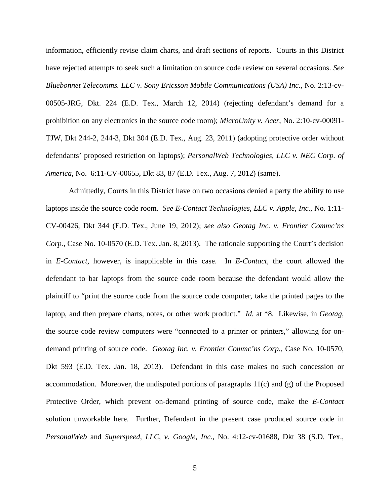information, efficiently revise claim charts, and draft sections of reports. Courts in this District have rejected attempts to seek such a limitation on source code review on several occasions. *See Bluebonnet Telecomms. LLC v. Sony Ericsson Mobile Communications (USA) Inc.*, No. 2:13-cv-00505-JRG, Dkt. 224 (E.D. Tex., March 12, 2014) (rejecting defendant's demand for a prohibition on any electronics in the source code room); *MicroUnity v. Acer*, No. 2:10-cv-00091- TJW, Dkt 244-2, 244-3, Dkt 304 (E.D. Tex., Aug. 23, 2011) (adopting protective order without defendants' proposed restriction on laptops); *PersonalWeb Technologies, LLC v. NEC Corp. of America*, No. 6:11-CV-00655, Dkt 83, 87 (E.D. Tex., Aug. 7, 2012) (same).

Admittedly, Courts in this District have on two occasions denied a party the ability to use laptops inside the source code room. *See E-Contact Technologies, LLC v. Apple, Inc.*, No. 1:11- CV-00426, Dkt 344 (E.D. Tex., June 19, 2012); *see also Geotag Inc. v. Frontier Commc'ns Corp.*, Case No. 10-0570 (E.D. Tex. Jan. 8, 2013). The rationale supporting the Court's decision in *E-Contact*, however, is inapplicable in this case. In *E-Contact*, the court allowed the defendant to bar laptops from the source code room because the defendant would allow the plaintiff to "print the source code from the source code computer, take the printed pages to the laptop, and then prepare charts, notes, or other work product." *Id.* at \*8. Likewise, in *Geotag*, the source code review computers were "connected to a printer or printers," allowing for ondemand printing of source code. *Geotag Inc. v. Frontier Commc'ns Corp.*, Case No. 10-0570, Dkt 593 (E.D. Tex. Jan. 18, 2013). Defendant in this case makes no such concession or accommodation. Moreover, the undisputed portions of paragraphs 11(c) and (g) of the Proposed Protective Order, which prevent on-demand printing of source code, make the *E-Contact* solution unworkable here. Further, Defendant in the present case produced source code in *PersonalWeb* and *Superspeed, LLC, v. Google, Inc.*, No. 4:12-cv-01688, Dkt 38 (S.D. Tex.,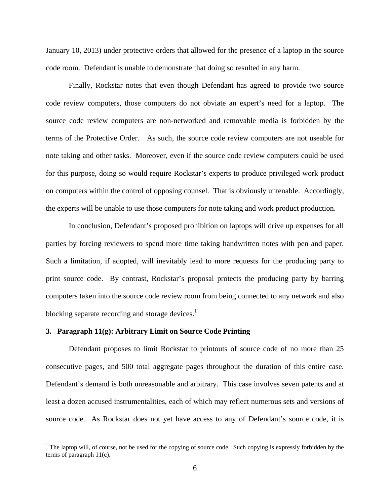January 10, 2013) under protective orders that allowed for the presence of a laptop in the source code room. Defendant is unable to demonstrate that doing so resulted in any harm.

Finally, Rockstar notes that even though Defendant has agreed to provide two source code review computers, those computers do not obviate an expert's need for a laptop. The source code review computers are non-networked and removable media is forbidden by the terms of the Protective Order. As such, the source code review computers are not useable for note taking and other tasks. Moreover, even if the source code review computers could be used for this purpose, doing so would require Rockstar's experts to produce privileged work product on computers within the control of opposing counsel. That is obviously untenable. Accordingly, the experts will be unable to use those computers for note taking and work product production.

In conclusion, Defendant's proposed prohibition on laptops will drive up expenses for all parties by forcing reviewers to spend more time taking handwritten notes with pen and paper. Such a limitation, if adopted, will inevitably lead to more requests for the producing party to print source code. By contrast, Rockstar's proposal protects the producing party by barring computers taken into the source code review room from being connected to any network and also blocking separate recording and storage devices. $<sup>1</sup>$ </sup>

# **3. Paragraph 11(g): Arbitrary Limit on Source Code Printing**

 $\overline{a}$ 

Defendant proposes to limit Rockstar to printouts of source code of no more than 25 consecutive pages, and 500 total aggregate pages throughout the duration of this entire case. Defendant's demand is both unreasonable and arbitrary. This case involves seven patents and at least a dozen accused instrumentalities, each of which may reflect numerous sets and versions of source code. As Rockstar does not yet have access to any of Defendant's source code, it is

 $1$ <sup>1</sup> The laptop will, of course, not be used for the copying of source code. Such copying is expressly forbidden by the terms of paragraph 11(c).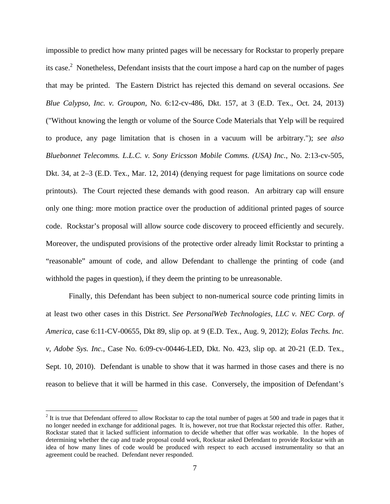impossible to predict how many printed pages will be necessary for Rockstar to properly prepare its case.<sup>2</sup> Nonetheless, Defendant insists that the court impose a hard cap on the number of pages that may be printed. The Eastern District has rejected this demand on several occasions. *See Blue Calypso, Inc. v. Groupon*, No. 6:12-cv-486, Dkt. 157, at 3 (E.D. Tex., Oct. 24, 2013) ("Without knowing the length or volume of the Source Code Materials that Yelp will be required to produce, any page limitation that is chosen in a vacuum will be arbitrary."); *see also Bluebonnet Telecomms. L.L.C. v. Sony Ericsson Mobile Comms. (USA) Inc.*, No. 2:13-cv-505, Dkt. 34, at 2–3 (E.D. Tex., Mar. 12, 2014) (denying request for page limitations on source code printouts). The Court rejected these demands with good reason. An arbitrary cap will ensure only one thing: more motion practice over the production of additional printed pages of source code. Rockstar's proposal will allow source code discovery to proceed efficiently and securely. Moreover, the undisputed provisions of the protective order already limit Rockstar to printing a "reasonable" amount of code, and allow Defendant to challenge the printing of code (and withhold the pages in question), if they deem the printing to be unreasonable.

Finally, this Defendant has been subject to non-numerical source code printing limits in at least two other cases in this District. *See PersonalWeb Technologies, LLC v. NEC Corp. of America*, case 6:11-CV-00655, Dkt 89, slip op. at 9 (E.D. Tex., Aug. 9, 2012); *Eolas Techs. Inc. v, Adobe Sys. Inc.*, Case No. 6:09-cv-00446-LED, Dkt. No. 423, slip op. at 20-21 (E.D. Tex., Sept. 10, 2010). Defendant is unable to show that it was harmed in those cases and there is no reason to believe that it will be harmed in this case. Conversely, the imposition of Defendant's

 $\overline{a}$ 

 $2<sup>2</sup>$  It is true that Defendant offered to allow Rockstar to cap the total number of pages at 500 and trade in pages that it no longer needed in exchange for additional pages. It is, however, not true that Rockstar rejected this offer. Rather, Rockstar stated that it lacked sufficient information to decide whether that offer was workable. In the hopes of determining whether the cap and trade proposal could work, Rockstar asked Defendant to provide Rockstar with an idea of how many lines of code would be produced with respect to each accused instrumentality so that an agreement could be reached. Defendant never responded.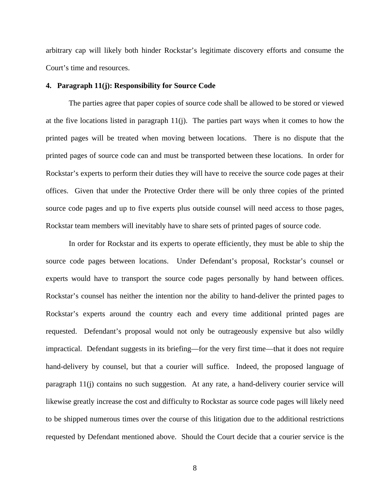arbitrary cap will likely both hinder Rockstar's legitimate discovery efforts and consume the Court's time and resources.

#### **4. Paragraph 11(j): Responsibility for Source Code**

The parties agree that paper copies of source code shall be allowed to be stored or viewed at the five locations listed in paragraph 11(j). The parties part ways when it comes to how the printed pages will be treated when moving between locations. There is no dispute that the printed pages of source code can and must be transported between these locations. In order for Rockstar's experts to perform their duties they will have to receive the source code pages at their offices. Given that under the Protective Order there will be only three copies of the printed source code pages and up to five experts plus outside counsel will need access to those pages, Rockstar team members will inevitably have to share sets of printed pages of source code.

In order for Rockstar and its experts to operate efficiently, they must be able to ship the source code pages between locations. Under Defendant's proposal, Rockstar's counsel or experts would have to transport the source code pages personally by hand between offices. Rockstar's counsel has neither the intention nor the ability to hand-deliver the printed pages to Rockstar's experts around the country each and every time additional printed pages are requested. Defendant's proposal would not only be outrageously expensive but also wildly impractical. Defendant suggests in its briefing—for the very first time—that it does not require hand-delivery by counsel, but that a courier will suffice. Indeed, the proposed language of paragraph 11(j) contains no such suggestion. At any rate, a hand-delivery courier service will likewise greatly increase the cost and difficulty to Rockstar as source code pages will likely need to be shipped numerous times over the course of this litigation due to the additional restrictions requested by Defendant mentioned above. Should the Court decide that a courier service is the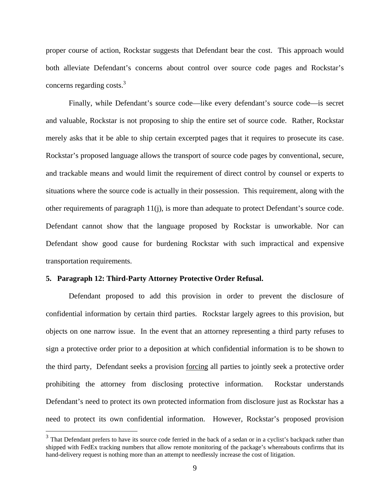proper course of action, Rockstar suggests that Defendant bear the cost. This approach would both alleviate Defendant's concerns about control over source code pages and Rockstar's concerns regarding costs.<sup>3</sup>

Finally, while Defendant's source code—like every defendant's source code—is secret and valuable, Rockstar is not proposing to ship the entire set of source code. Rather, Rockstar merely asks that it be able to ship certain excerpted pages that it requires to prosecute its case. Rockstar's proposed language allows the transport of source code pages by conventional, secure, and trackable means and would limit the requirement of direct control by counsel or experts to situations where the source code is actually in their possession. This requirement, along with the other requirements of paragraph 11(j), is more than adequate to protect Defendant's source code. Defendant cannot show that the language proposed by Rockstar is unworkable. Nor can Defendant show good cause for burdening Rockstar with such impractical and expensive transportation requirements.

# **5. Paragraph 12: Third-Party Attorney Protective Order Refusal.**

 $\overline{a}$ 

Defendant proposed to add this provision in order to prevent the disclosure of confidential information by certain third parties. Rockstar largely agrees to this provision, but objects on one narrow issue. In the event that an attorney representing a third party refuses to sign a protective order prior to a deposition at which confidential information is to be shown to the third party, Defendant seeks a provision forcing all parties to jointly seek a protective order prohibiting the attorney from disclosing protective information. Rockstar understands Defendant's need to protect its own protected information from disclosure just as Rockstar has a need to protect its own confidential information. However, Rockstar's proposed provision

 $3$  That Defendant prefers to have its source code ferried in the back of a sedan or in a cyclist's backpack rather than shipped with FedEx tracking numbers that allow remote monitoring of the package's whereabouts confirms that its hand-delivery request is nothing more than an attempt to needlessly increase the cost of litigation.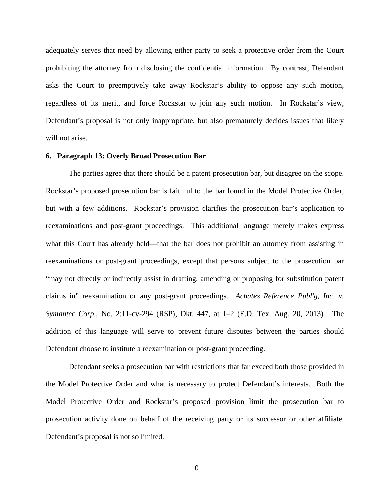adequately serves that need by allowing either party to seek a protective order from the Court prohibiting the attorney from disclosing the confidential information. By contrast, Defendant asks the Court to preemptively take away Rockstar's ability to oppose any such motion, regardless of its merit, and force Rockstar to join any such motion. In Rockstar's view, Defendant's proposal is not only inappropriate, but also prematurely decides issues that likely will not arise.

# **6. Paragraph 13: Overly Broad Prosecution Bar**

The parties agree that there should be a patent prosecution bar, but disagree on the scope. Rockstar's proposed prosecution bar is faithful to the bar found in the Model Protective Order, but with a few additions. Rockstar's provision clarifies the prosecution bar's application to reexaminations and post-grant proceedings. This additional language merely makes express what this Court has already held—that the bar does not prohibit an attorney from assisting in reexaminations or post-grant proceedings, except that persons subject to the prosecution bar "may not directly or indirectly assist in drafting, amending or proposing for substitution patent claims in" reexamination or any post-grant proceedings. *Achates Reference Publ'g, Inc. v. Symantec Corp.*, No. 2:11-cv-294 (RSP), Dkt. 447, at 1–2 (E.D. Tex. Aug. 20, 2013). The addition of this language will serve to prevent future disputes between the parties should Defendant choose to institute a reexamination or post-grant proceeding.

Defendant seeks a prosecution bar with restrictions that far exceed both those provided in the Model Protective Order and what is necessary to protect Defendant's interests. Both the Model Protective Order and Rockstar's proposed provision limit the prosecution bar to prosecution activity done on behalf of the receiving party or its successor or other affiliate. Defendant's proposal is not so limited.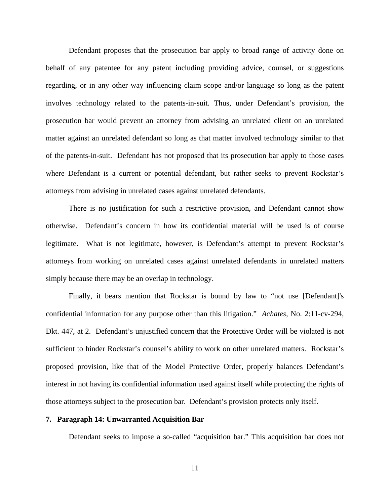Defendant proposes that the prosecution bar apply to broad range of activity done on behalf of any patentee for any patent including providing advice, counsel, or suggestions regarding, or in any other way influencing claim scope and/or language so long as the patent involves technology related to the patents-in-suit. Thus, under Defendant's provision, the prosecution bar would prevent an attorney from advising an unrelated client on an unrelated matter against an unrelated defendant so long as that matter involved technology similar to that of the patents-in-suit. Defendant has not proposed that its prosecution bar apply to those cases where Defendant is a current or potential defendant, but rather seeks to prevent Rockstar's attorneys from advising in unrelated cases against unrelated defendants.

There is no justification for such a restrictive provision, and Defendant cannot show otherwise. Defendant's concern in how its confidential material will be used is of course legitimate. What is not legitimate, however, is Defendant's attempt to prevent Rockstar's attorneys from working on unrelated cases against unrelated defendants in unrelated matters simply because there may be an overlap in technology.

Finally, it bears mention that Rockstar is bound by law to "not use [Defendant]'s confidential information for any purpose other than this litigation." *Achates*, No. 2:11-cv-294, Dkt. 447, at 2. Defendant's unjustified concern that the Protective Order will be violated is not sufficient to hinder Rockstar's counsel's ability to work on other unrelated matters. Rockstar's proposed provision, like that of the Model Protective Order, properly balances Defendant's interest in not having its confidential information used against itself while protecting the rights of those attorneys subject to the prosecution bar. Defendant's provision protects only itself.

# **7. Paragraph 14: Unwarranted Acquisition Bar**

Defendant seeks to impose a so-called "acquisition bar." This acquisition bar does not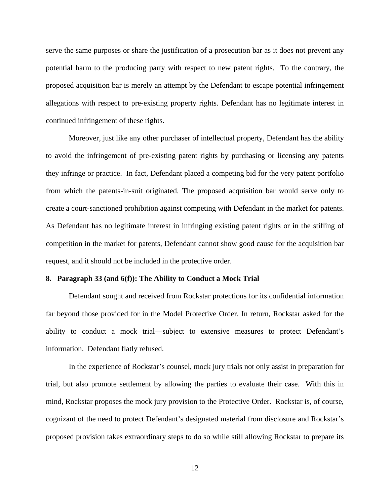serve the same purposes or share the justification of a prosecution bar as it does not prevent any potential harm to the producing party with respect to new patent rights. To the contrary, the proposed acquisition bar is merely an attempt by the Defendant to escape potential infringement allegations with respect to pre-existing property rights. Defendant has no legitimate interest in continued infringement of these rights.

Moreover, just like any other purchaser of intellectual property, Defendant has the ability to avoid the infringement of pre-existing patent rights by purchasing or licensing any patents they infringe or practice. In fact, Defendant placed a competing bid for the very patent portfolio from which the patents-in-suit originated. The proposed acquisition bar would serve only to create a court-sanctioned prohibition against competing with Defendant in the market for patents. As Defendant has no legitimate interest in infringing existing patent rights or in the stifling of competition in the market for patents, Defendant cannot show good cause for the acquisition bar request, and it should not be included in the protective order.

#### **8. Paragraph 33 (and 6(f)): The Ability to Conduct a Mock Trial**

Defendant sought and received from Rockstar protections for its confidential information far beyond those provided for in the Model Protective Order. In return, Rockstar asked for the ability to conduct a mock trial—subject to extensive measures to protect Defendant's information. Defendant flatly refused.

In the experience of Rockstar's counsel, mock jury trials not only assist in preparation for trial, but also promote settlement by allowing the parties to evaluate their case. With this in mind, Rockstar proposes the mock jury provision to the Protective Order. Rockstar is, of course, cognizant of the need to protect Defendant's designated material from disclosure and Rockstar's proposed provision takes extraordinary steps to do so while still allowing Rockstar to prepare its